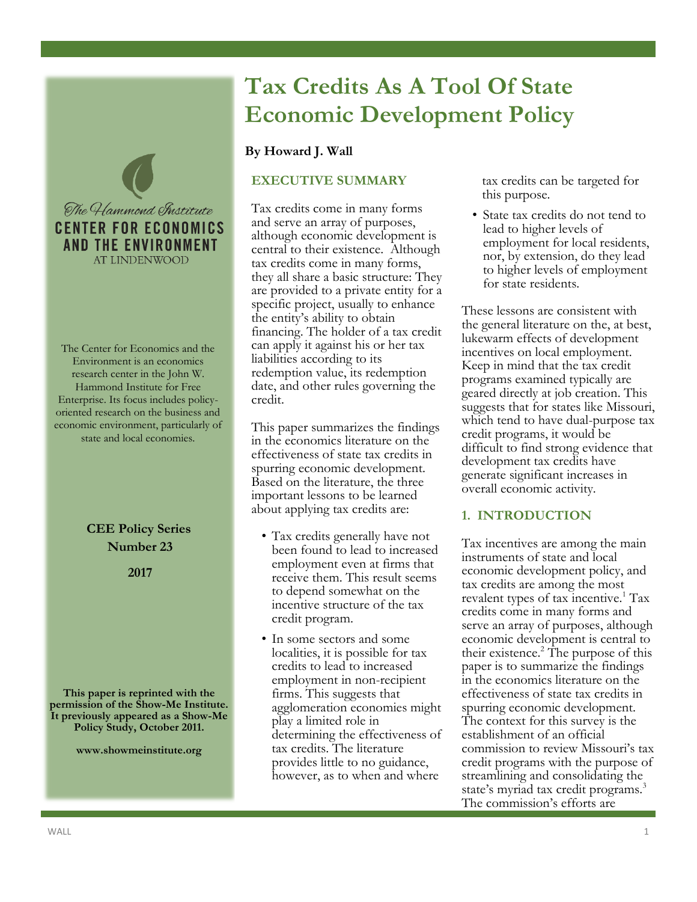

The Center for Economics and the Environment is an economics research center in the John W. Hammond Institute for Free Enterprise. Its focus includes policyoriented research on the business and economic environment, particularly of state and local economies.

# **CEE Policy Series Number 23**

**2017**

**This paper is reprinted with the permission of the Show-Me Institute. It previously appeared as a Show-Me Policy Study, October 2011.**

**www.showmeinstitute.org**

# **Tax Credits As A Tool Of State Economic Development Policy**

# **By Howard J. Wall**

# **EXECUTIVE SUMMARY**

Tax credits come in many forms and serve an array of purposes, although economic development is central to their existence. Although tax credits come in many forms, they all share a basic structure: They are provided to a private entity for a specific project, usually to enhance the entity's ability to obtain financing. The holder of a tax credit can apply it against his or her tax liabilities according to its redemption value, its redemption date, and other rules governing the credit.

This paper summarizes the findings in the economics literature on the effectiveness of state tax credits in spurring economic development. Based on the literature, the three important lessons to be learned about applying tax credits are:

- Tax credits generally have not been found to lead to increased employment even at firms that receive them. This result seems to depend somewhat on the incentive structure of the tax credit program.
- In some sectors and some localities, it is possible for tax credits to lead to increased employment in non-recipient firms. This suggests that agglomeration economies might play a limited role in determining the effectiveness of tax credits. The literature provides little to no guidance, however, as to when and where

tax credits can be targeted for this purpose.

• State tax credits do not tend to lead to higher levels of employment for local residents, nor, by extension, do they lead to higher levels of employment for state residents.

These lessons are consistent with the general literature on the, at best, lukewarm effects of development incentives on local employment. Keep in mind that the tax credit programs examined typically are geared directly at job creation. This suggests that for states like Missouri, which tend to have dual-purpose tax credit programs, it would be difficult to find strong evidence that development tax credits have generate significant increases in overall economic activity.

# **1. INTRODUCTION**

Tax incentives are among the main instruments of state and local economic development policy, and tax credits are among the most revalent types of tax incentive.<sup>1</sup> Tax credits come in many forms and serve an array of purposes, although economic development is central to their existence.<sup>2</sup> The purpose of this paper is to summarize the findings in the economics literature on the effectiveness of state tax credits in spurring economic development. The context for this survey is the establishment of an official commission to review Missouri's tax credit programs with the purpose of streamlining and consolidating the state's myriad tax credit programs.<sup>3</sup> The commission's efforts are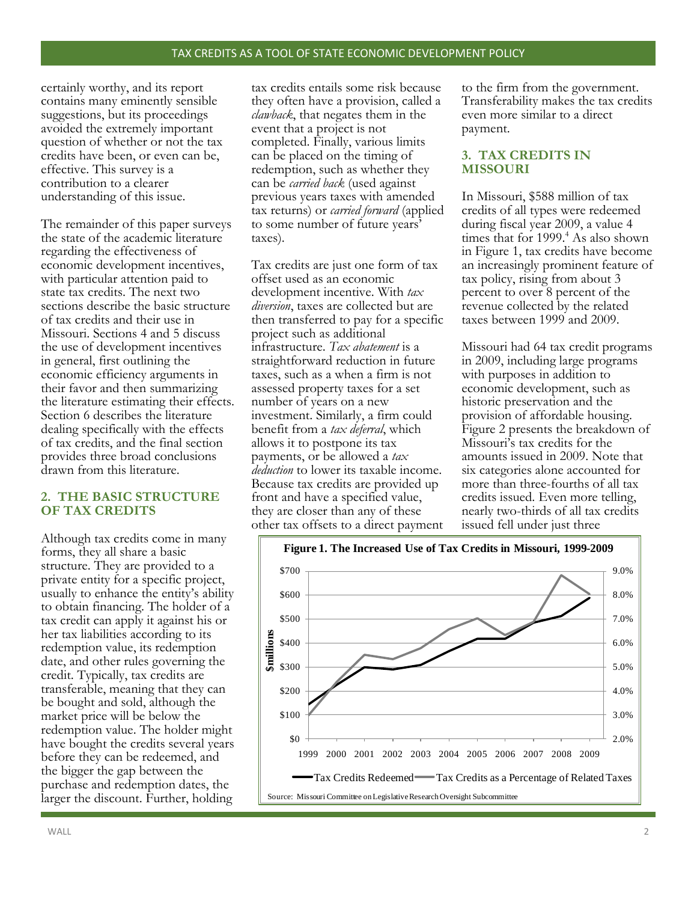certainly worthy, and its report contains many eminently sensible suggestions, but its proceedings avoided the extremely important question of whether or not the tax credits have been, or even can be, effective. This survey is a contribution to a clearer understanding of this issue.

The remainder of this paper surveys the state of the academic literature regarding the effectiveness of economic development incentives, with particular attention paid to state tax credits. The next two sections describe the basic structure of tax credits and their use in Missouri. Sections 4 and 5 discuss the use of development incentives in general, first outlining the economic efficiency arguments in their favor and then summarizing the literature estimating their effects. Section 6 describes the literature dealing specifically with the effects of tax credits, and the final section provides three broad conclusions drawn from this literature.

## **2. THE BASIC STRUCTURE OF TAX CREDITS**

Although tax credits come in many forms, they all share a basic structure. They are provided to a private entity for a specific project, usually to enhance the entity's ability to obtain financing. The holder of a tax credit can apply it against his or her tax liabilities according to its redemption value, its redemption date, and other rules governing the credit. Typically, tax credits are transferable, meaning that they can be bought and sold, although the market price will be below the redemption value. The holder might have bought the credits several years before they can be redeemed, and the bigger the gap between the purchase and redemption dates, the larger the discount. Further, holding

tax credits entails some risk because they often have a provision, called a *clawback*, that negates them in the event that a project is not completed. Finally, various limits can be placed on the timing of redemption, such as whether they can be *carried back* (used against previous years taxes with amended tax returns) or *carried forward* (applied to some number of future years' taxes).

Tax credits are just one form of tax offset used as an economic development incentive. With *tax diversion*, taxes are collected but are then transferred to pay for a specific project such as additional infrastructure. *Tax abatement* is a straightforward reduction in future taxes, such as a when a firm is not assessed property taxes for a set number of years on a new investment. Similarly, a firm could benefit from a *tax deferral*, which allows it to postpone its tax payments, or be allowed a *tax deduction* to lower its taxable income. Because tax credits are provided up front and have a specified value, they are closer than any of these other tax offsets to a direct payment

to the firm from the government. Transferability makes the tax credits even more similar to a direct payment.

# **3. TAX CREDITS IN MISSOURI**

In Missouri, \$588 million of tax credits of all types were redeemed during fiscal year 2009, a value 4 times that for  $1999<sup>4</sup>$  As also shown in Figure 1, tax credits have become an increasingly prominent feature of tax policy, rising from about 3 percent to over 8 percent of the revenue collected by the related taxes between 1999 and 2009.

Missouri had 64 tax credit programs in 2009, including large programs with purposes in addition to economic development, such as historic preservation and the provision of affordable housing. Figure 2 presents the breakdown of Missouri's tax credits for the amounts issued in 2009. Note that six categories alone accounted for more than three-fourths of all tax credits issued. Even more telling, nearly two-thirds of all tax credits issued fell under just three

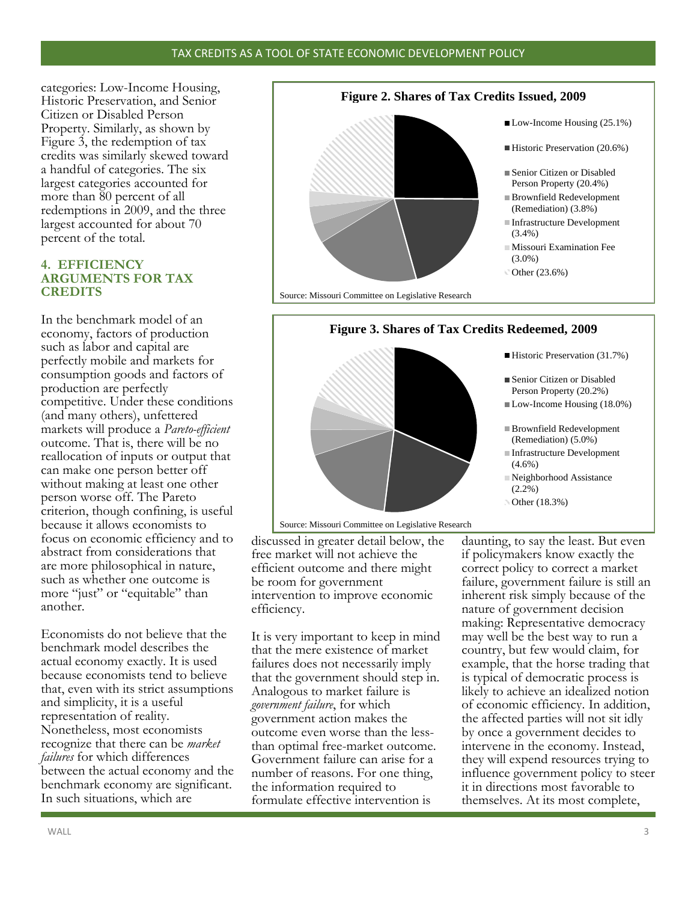#### TAX CREDITS AS A TOOL OF STATE ECONOMIC DEVELOPMENT POLICY

categories: Low-Income Housing, Historic Preservation, and Senior Citizen or Disabled Person Property. Similarly, as shown by Figure 3, the redemption of tax credits was similarly skewed toward a handful of categories. The six largest categories accounted for more than 80 percent of all redemptions in 2009, and the three largest accounted for about 70 percent of the total.

### **4. EFFICIENCY ARGUMENTS FOR TAX CREDITS**

In the benchmark model of an economy, factors of production such as labor and capital are perfectly mobile and markets for consumption goods and factors of production are perfectly competitive. Under these conditions (and many others), unfettered markets will produce a *Pareto-efficient* outcome. That is, there will be no reallocation of inputs or output that can make one person better off without making at least one other person worse off. The Pareto criterion, though confining, is useful because it allows economists to focus on economic efficiency and to abstract from considerations that are more philosophical in nature, such as whether one outcome is more "just" or "equitable" than another.

Economists do not believe that the benchmark model describes the actual economy exactly. It is used because economists tend to believe that, even with its strict assumptions and simplicity, it is a useful representation of reality. Nonetheless, most economists recognize that there can be *market failures* for which differences between the actual economy and the benchmark economy are significant. In such situations, which are



Source: Missouri Committee on Legislative Research

#### **Figure 3. Shares of Tax Credits Redeemed, 2009**



Source: Missouri Committee on Legislative Research

discussed in greater detail below, the free market will not achieve the efficient outcome and there might be room for government intervention to improve economic efficiency.

It is very important to keep in mind that the mere existence of market failures does not necessarily imply that the government should step in. Analogous to market failure is *government failure*, for which government action makes the outcome even worse than the lessthan optimal free-market outcome. Government failure can arise for a number of reasons. For one thing, the information required to formulate effective intervention is

daunting, to say the least. But even if policymakers know exactly the correct policy to correct a market failure, government failure is still an inherent risk simply because of the nature of government decision making: Representative democracy may well be the best way to run a country, but few would claim, for example, that the horse trading that is typical of democratic process is likely to achieve an idealized notion of economic efficiency. In addition, the affected parties will not sit idly by once a government decides to intervene in the economy. Instead, they will expend resources trying to influence government policy to steer it in directions most favorable to themselves. At its most complete,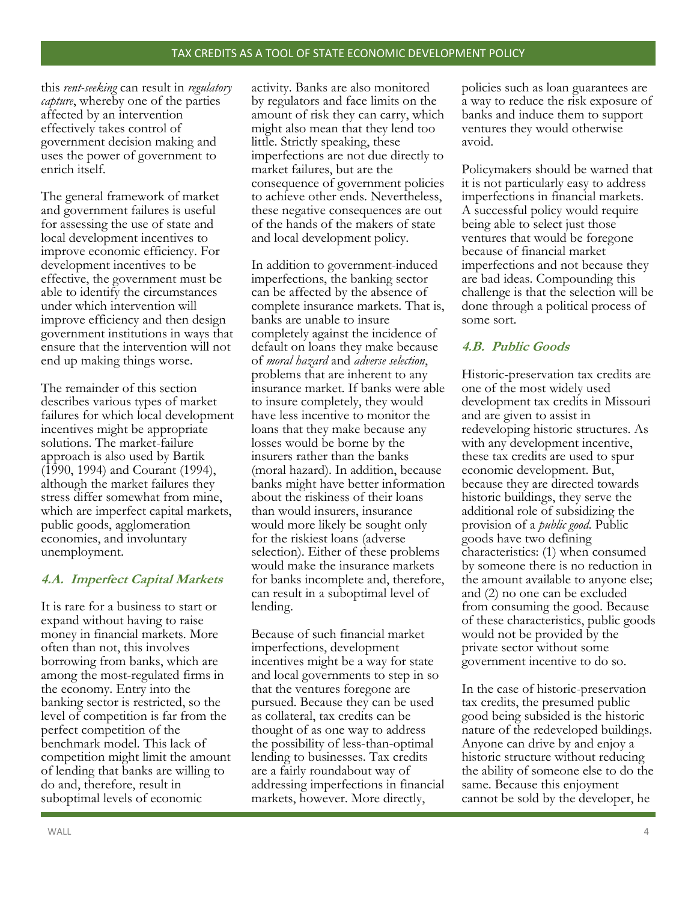this *rent-seeking* can result in *regulatory capture*, whereby one of the parties affected by an intervention effectively takes control of government decision making and uses the power of government to enrich itself.

The general framework of market and government failures is useful for assessing the use of state and local development incentives to improve economic efficiency. For development incentives to be effective, the government must be able to identify the circumstances under which intervention will improve efficiency and then design government institutions in ways that ensure that the intervention will not end up making things worse.

The remainder of this section describes various types of market failures for which local development incentives might be appropriate solutions. The market-failure approach is also used by Bartik (1990, 1994) and Courant (1994), although the market failures they stress differ somewhat from mine, which are imperfect capital markets, public goods, agglomeration economies, and involuntary unemployment.

# **4.A. Imperfect Capital Markets**

It is rare for a business to start or expand without having to raise money in financial markets. More often than not, this involves borrowing from banks, which are among the most-regulated firms in the economy. Entry into the banking sector is restricted, so the level of competition is far from the perfect competition of the benchmark model. This lack of competition might limit the amount of lending that banks are willing to do and, therefore, result in suboptimal levels of economic

activity. Banks are also monitored by regulators and face limits on the amount of risk they can carry, which might also mean that they lend too little. Strictly speaking, these imperfections are not due directly to market failures, but are the consequence of government policies to achieve other ends. Nevertheless, these negative consequences are out of the hands of the makers of state and local development policy.

In addition to government-induced imperfections, the banking sector can be affected by the absence of complete insurance markets. That is, banks are unable to insure completely against the incidence of default on loans they make because of *moral hazard* and *adverse selection*, problems that are inherent to any insurance market. If banks were able to insure completely, they would have less incentive to monitor the loans that they make because any losses would be borne by the insurers rather than the banks (moral hazard). In addition, because banks might have better information about the riskiness of their loans than would insurers, insurance would more likely be sought only for the riskiest loans (adverse selection). Either of these problems would make the insurance markets for banks incomplete and, therefore, can result in a suboptimal level of lending.

Because of such financial market imperfections, development incentives might be a way for state and local governments to step in so that the ventures foregone are pursued. Because they can be used as collateral, tax credits can be thought of as one way to address the possibility of less-than-optimal lending to businesses. Tax credits are a fairly roundabout way of addressing imperfections in financial markets, however. More directly,

policies such as loan guarantees are a way to reduce the risk exposure of banks and induce them to support ventures they would otherwise avoid.

Policymakers should be warned that it is not particularly easy to address imperfections in financial markets. A successful policy would require being able to select just those ventures that would be foregone because of financial market imperfections and not because they are bad ideas. Compounding this challenge is that the selection will be done through a political process of some sort.

# **4.B. Public Goods**

Historic-preservation tax credits are one of the most widely used development tax credits in Missouri and are given to assist in redeveloping historic structures. As with any development incentive, these tax credits are used to spur economic development. But, because they are directed towards historic buildings, they serve the additional role of subsidizing the provision of a *public good*. Public goods have two defining characteristics: (1) when consumed by someone there is no reduction in the amount available to anyone else; and (2) no one can be excluded from consuming the good. Because of these characteristics, public goods would not be provided by the private sector without some government incentive to do so.

In the case of historic-preservation tax credits, the presumed public good being subsided is the historic nature of the redeveloped buildings. Anyone can drive by and enjoy a historic structure without reducing the ability of someone else to do the same. Because this enjoyment cannot be sold by the developer, he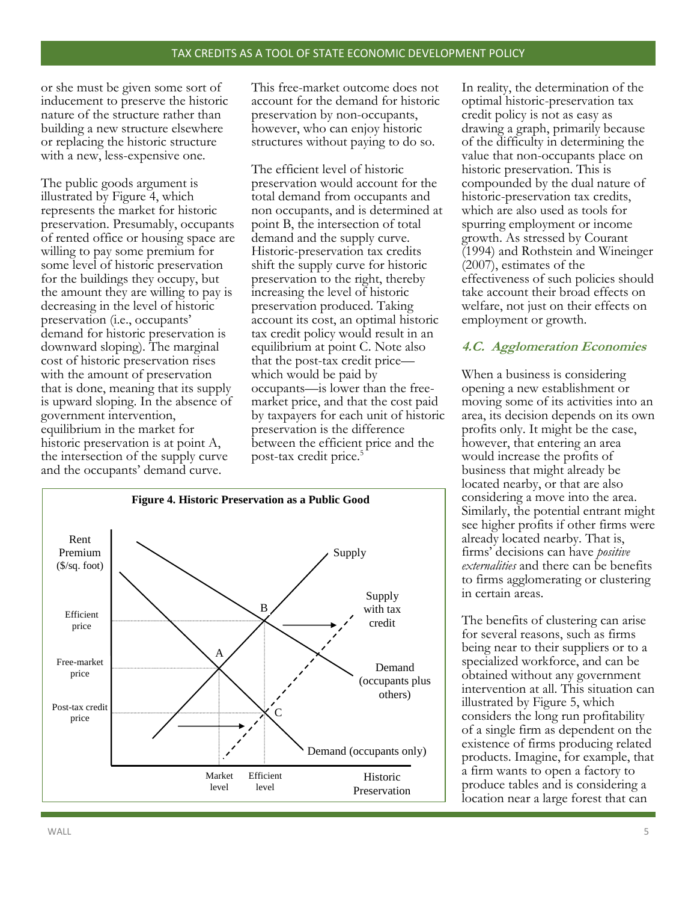or she must be given some sort of inducement to preserve the historic nature of the structure rather than building a new structure elsewhere or replacing the historic structure with a new, less-expensive one.

The public goods argument is illustrated by Figure 4, which represents the market for historic preservation. Presumably, occupants of rented office or housing space are willing to pay some premium for some level of historic preservation for the buildings they occupy, but the amount they are willing to pay is decreasing in the level of historic preservation (i.e., occupants' demand for historic preservation is downward sloping). The marginal cost of historic preservation rises with the amount of preservation that is done, meaning that its supply is upward sloping. In the absence of government intervention, equilibrium in the market for historic preservation is at point A, the intersection of the supply curve and the occupants' demand curve.

This free-market outcome does not account for the demand for historic preservation by non-occupants, however, who can enjoy historic structures without paying to do so.

The efficient level of historic preservation would account for the total demand from occupants and non occupants, and is determined at point B, the intersection of total demand and the supply curve. Historic-preservation tax credits shift the supply curve for historic preservation to the right, thereby increasing the level of historic preservation produced. Taking account its cost, an optimal historic tax credit policy would result in an equilibrium at point C. Note also that the post-tax credit price which would be paid by occupants—is lower than the freemarket price, and that the cost paid by taxpayers for each unit of historic preservation is the difference between the efficient price and the post-tax credit price.<sup>5</sup>



In reality, the determination of the optimal historic-preservation tax credit policy is not as easy as drawing a graph, primarily because of the difficulty in determining the value that non-occupants place on historic preservation. This is compounded by the dual nature of historic-preservation tax credits, which are also used as tools for spurring employment or income growth. As stressed by Courant (1994) and Rothstein and Wineinger (2007), estimates of the effectiveness of such policies should take account their broad effects on welfare, not just on their effects on employment or growth.

# **4.C. Agglomeration Economies**

When a business is considering opening a new establishment or moving some of its activities into an area, its decision depends on its own profits only. It might be the case, however, that entering an area would increase the profits of business that might already be located nearby, or that are also considering a move into the area. Similarly, the potential entrant might see higher profits if other firms were already located nearby. That is, firms' decisions can have *positive externalities* and there can be benefits to firms agglomerating or clustering in certain areas.

The benefits of clustering can arise for several reasons, such as firms being near to their suppliers or to a specialized workforce, and can be obtained without any government intervention at all. This situation can illustrated by Figure 5, which considers the long run profitability of a single firm as dependent on the existence of firms producing related products. Imagine, for example, that a firm wants to open a factory to produce tables and is considering a location near a large forest that can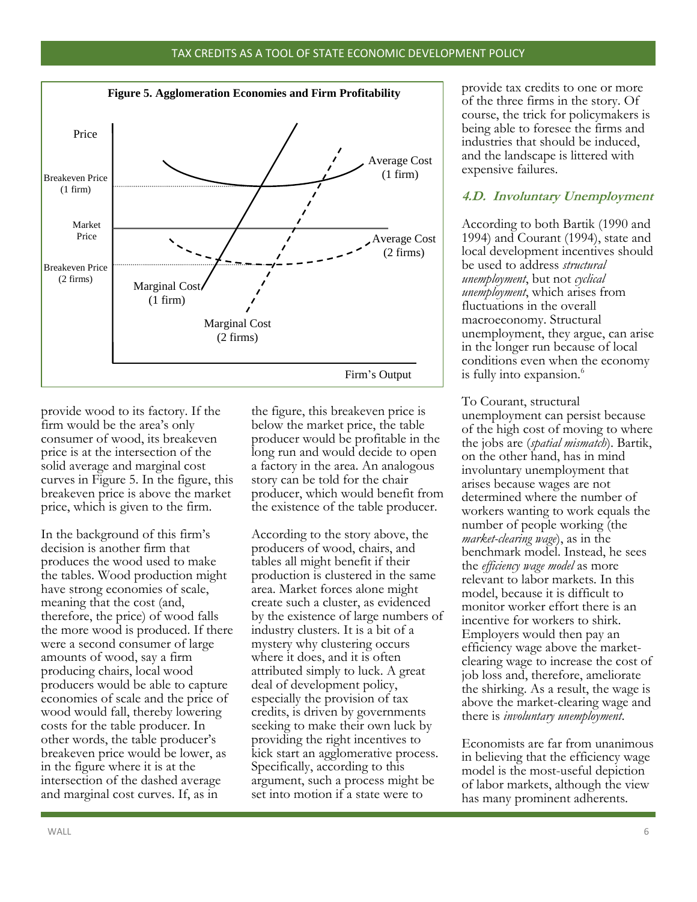#### TAX CREDITS AS A TOOL OF STATE ECONOMIC DEVELOPMENT POLICY



provide wood to its factory. If the firm would be the area's only consumer of wood, its breakeven price is at the intersection of the solid average and marginal cost curves in Figure 5. In the figure, this breakeven price is above the market price, which is given to the firm.

In the background of this firm's decision is another firm that produces the wood used to make the tables. Wood production might have strong economies of scale, meaning that the cost (and, therefore, the price) of wood falls the more wood is produced. If there were a second consumer of large amounts of wood, say a firm producing chairs, local wood producers would be able to capture economies of scale and the price of wood would fall, thereby lowering costs for the table producer. In other words, the table producer's breakeven price would be lower, as in the figure where it is at the intersection of the dashed average and marginal cost curves. If, as in

the figure, this breakeven price is below the market price, the table producer would be profitable in the long run and would decide to open a factory in the area. An analogous story can be told for the chair producer, which would benefit from the existence of the table producer.

According to the story above, the producers of wood, chairs, and tables all might benefit if their production is clustered in the same area. Market forces alone might create such a cluster, as evidenced by the existence of large numbers of industry clusters. It is a bit of a mystery why clustering occurs where it does, and it is often attributed simply to luck. A great deal of development policy, especially the provision of tax credits, is driven by governments seeking to make their own luck by providing the right incentives to kick start an agglomerative process. Specifically, according to this argument, such a process might be set into motion if a state were to

provide tax credits to one or more of the three firms in the story. Of course, the trick for policymakers is being able to foresee the firms and industries that should be induced, and the landscape is littered with expensive failures.

## **4.D. Involuntary Unemployment**

According to both Bartik (1990 and 1994) and Courant (1994), state and local development incentives should be used to address *structural unemployment*, but not *cyclical unemployment*, which arises from fluctuations in the overall macroeconomy. Structural unemployment, they argue, can arise in the longer run because of local conditions even when the economy is fully into expansion.<sup>6</sup>

To Courant, structural unemployment can persist because of the high cost of moving to where the jobs are (*spatial mismatch*). Bartik, on the other hand, has in mind involuntary unemployment that arises because wages are not determined where the number of workers wanting to work equals the number of people working (the *market-clearing wage*), as in the benchmark model. Instead, he sees the *efficiency wage model* as more relevant to labor markets. In this model, because it is difficult to monitor worker effort there is an incentive for workers to shirk. Employers would then pay an efficiency wage above the marketclearing wage to increase the cost of job loss and, therefore, ameliorate the shirking. As a result, the wage is above the market-clearing wage and there is *involuntary unemployment*.

Economists are far from unanimous in believing that the efficiency wage model is the most-useful depiction of labor markets, although the view has many prominent adherents.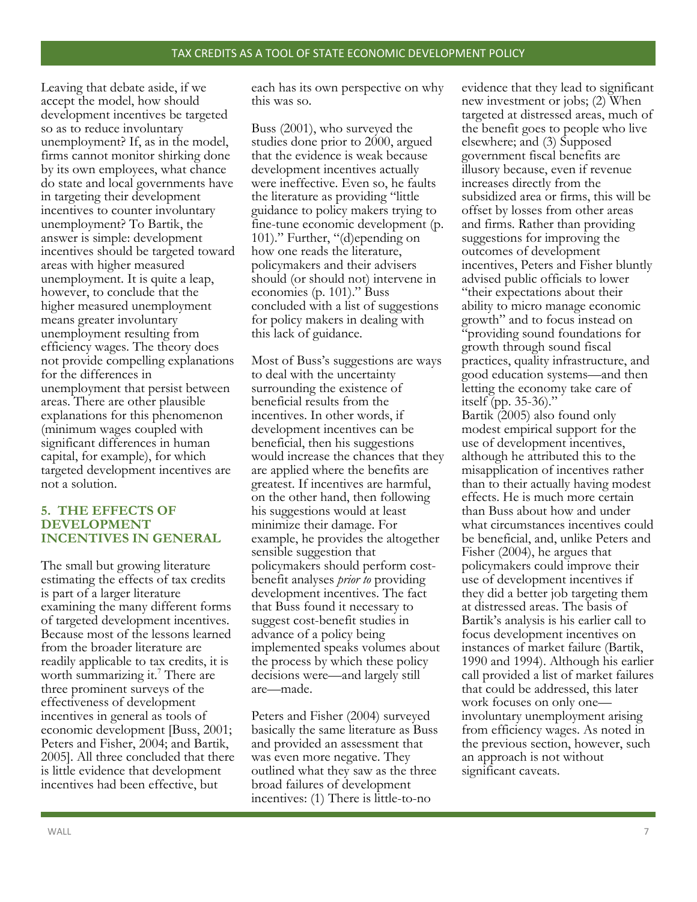Leaving that debate aside, if we accept the model, how should development incentives be targeted so as to reduce involuntary unemployment? If, as in the model, firms cannot monitor shirking done by its own employees, what chance do state and local governments have in targeting their development incentives to counter involuntary unemployment? To Bartik, the answer is simple: development incentives should be targeted toward areas with higher measured unemployment. It is quite a leap, however, to conclude that the higher measured unemployment means greater involuntary unemployment resulting from efficiency wages. The theory does not provide compelling explanations for the differences in unemployment that persist between areas. There are other plausible explanations for this phenomenon (minimum wages coupled with significant differences in human capital, for example), for which targeted development incentives are not a solution.

## **5. THE EFFECTS OF DEVELOPMENT INCENTIVES IN GENERAL**

The small but growing literature estimating the effects of tax credits is part of a larger literature examining the many different forms of targeted development incentives. Because most of the lessons learned from the broader literature are readily applicable to tax credits, it is worth summarizing it.<sup>7</sup> There are three prominent surveys of the effectiveness of development incentives in general as tools of economic development [Buss, 2001; Peters and Fisher, 2004; and Bartik, 2005]. All three concluded that there is little evidence that development incentives had been effective, but

each has its own perspective on why this was so.

Buss (2001), who surveyed the studies done prior to 2000, argued that the evidence is weak because development incentives actually were ineffective. Even so, he faults the literature as providing "little guidance to policy makers trying to fine-tune economic development (p. 101)." Further, "(d)epending on how one reads the literature, policymakers and their advisers should (or should not) intervene in economies (p. 101)." Buss concluded with a list of suggestions for policy makers in dealing with this lack of guidance.

Most of Buss's suggestions are ways to deal with the uncertainty surrounding the existence of beneficial results from the incentives. In other words, if development incentives can be beneficial, then his suggestions would increase the chances that they are applied where the benefits are greatest. If incentives are harmful, on the other hand, then following his suggestions would at least minimize their damage. For example, he provides the altogether sensible suggestion that policymakers should perform costbenefit analyses *prior to* providing development incentives. The fact that Buss found it necessary to suggest cost-benefit studies in advance of a policy being implemented speaks volumes about the process by which these policy decisions were—and largely still are—made.

Peters and Fisher (2004) surveyed basically the same literature as Buss and provided an assessment that was even more negative. They outlined what they saw as the three broad failures of development incentives: (1) There is little-to-no

evidence that they lead to significant new investment or jobs; (2) When targeted at distressed areas, much of the benefit goes to people who live elsewhere; and (3) Supposed government fiscal benefits are illusory because, even if revenue increases directly from the subsidized area or firms, this will be offset by losses from other areas and firms. Rather than providing suggestions for improving the outcomes of development incentives, Peters and Fisher bluntly advised public officials to lower "their expectations about their ability to micro manage economic growth" and to focus instead on "providing sound foundations for growth through sound fiscal practices, quality infrastructure, and good education systems—and then letting the economy take care of itself (pp. 35-36)."

Bartik (2005) also found only modest empirical support for the use of development incentives, although he attributed this to the misapplication of incentives rather than to their actually having modest effects. He is much more certain than Buss about how and under what circumstances incentives could be beneficial, and, unlike Peters and Fisher (2004), he argues that policymakers could improve their use of development incentives if they did a better job targeting them at distressed areas. The basis of Bartik's analysis is his earlier call to focus development incentives on instances of market failure (Bartik, 1990 and 1994). Although his earlier call provided a list of market failures that could be addressed, this later work focuses on only one involuntary unemployment arising from efficiency wages. As noted in the previous section, however, such an approach is not without significant caveats.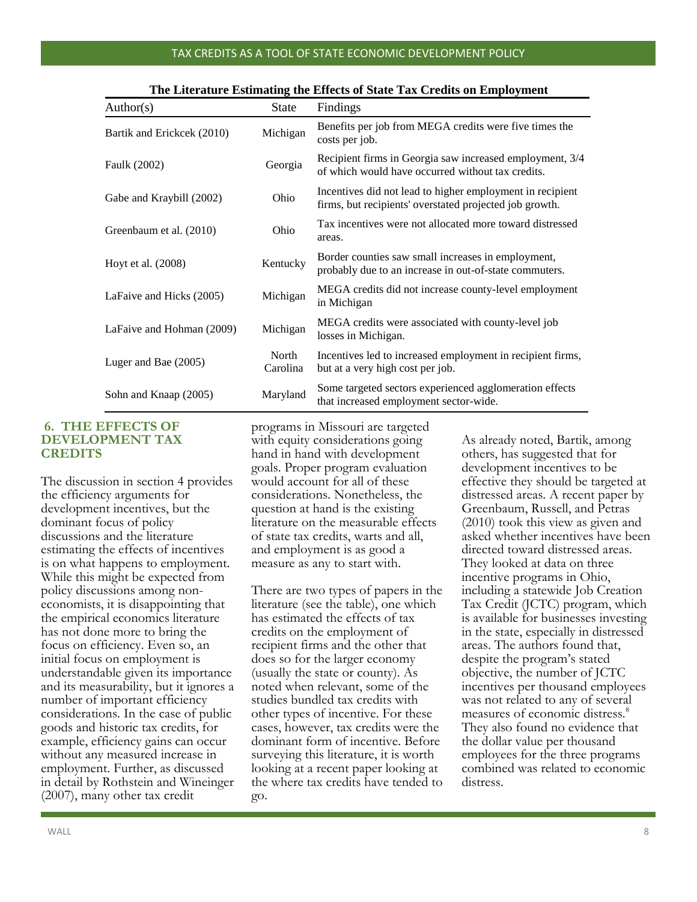#### TAX CREDITS AS A TOOL OF STATE ECONOMIC DEVELOPMENT POLICY

| Author(s)                  | State             | Findings                                                                                                             |
|----------------------------|-------------------|----------------------------------------------------------------------------------------------------------------------|
| Bartik and Erickcek (2010) | Michigan          | Benefits per job from MEGA credits were five times the<br>costs per job.                                             |
| Faulk (2002)               | Georgia           | Recipient firms in Georgia saw increased employment, 3/4<br>of which would have occurred without tax credits.        |
| Gabe and Kraybill (2002)   | Ohio              | Incentives did not lead to higher employment in recipient<br>firms, but recipients' overstated projected job growth. |
| Greenbaum et al. (2010)    | Ohio              | Tax incentives were not allocated more toward distressed<br>areas.                                                   |
| Hoyt et al. (2008)         | Kentucky          | Border counties saw small increases in employment,<br>probably due to an increase in out-of-state commuters.         |
| LaFaive and Hicks (2005)   | Michigan          | MEGA credits did not increase county-level employment<br>in Michigan                                                 |
| LaFaive and Hohman (2009)  | Michigan          | MEGA credits were associated with county-level job<br>losses in Michigan.                                            |
| Luger and Bae (2005)       | North<br>Carolina | Incentives led to increased employment in recipient firms,<br>but at a very high cost per job.                       |
| Sohn and Knaap (2005)      | Maryland          | Some targeted sectors experienced agglomeration effects<br>that increased employment sector-wide.                    |

#### **The Literature Estimating the Effects of State Tax Credits on Employment**

## **6. THE EFFECTS OF DEVELOPMENT TAX CREDITS**

The discussion in section 4 provides the efficiency arguments for development incentives, but the dominant focus of policy discussions and the literature estimating the effects of incentives is on what happens to employment. While this might be expected from policy discussions among noneconomists, it is disappointing that the empirical economics literature has not done more to bring the focus on efficiency. Even so, an initial focus on employment is understandable given its importance and its measurability, but it ignores a number of important efficiency considerations. In the case of public goods and historic tax credits, for example, efficiency gains can occur without any measured increase in employment. Further, as discussed in detail by Rothstein and Wineinger (2007), many other tax credit

programs in Missouri are targeted with equity considerations going hand in hand with development goals. Proper program evaluation would account for all of these considerations. Nonetheless, the question at hand is the existing literature on the measurable effects of state tax credits, warts and all, and employment is as good a measure as any to start with.

There are two types of papers in the literature (see the table), one which has estimated the effects of tax credits on the employment of recipient firms and the other that does so for the larger economy (usually the state or county). As noted when relevant, some of the studies bundled tax credits with other types of incentive. For these cases, however, tax credits were the dominant form of incentive. Before surveying this literature, it is worth looking at a recent paper looking at the where tax credits have tended to go.

As already noted, Bartik, among others, has suggested that for development incentives to be effective they should be targeted at distressed areas. A recent paper by Greenbaum, Russell, and Petras (2010) took this view as given and asked whether incentives have been directed toward distressed areas. They looked at data on three incentive programs in Ohio, including a statewide Job Creation Tax Credit (JCTC) program, which is available for businesses investing in the state, especially in distressed areas. The authors found that, despite the program's stated objective, the number of JCTC incentives per thousand employees was not related to any of several measures of economic distress.<sup>8</sup> They also found no evidence that the dollar value per thousand employees for the three programs combined was related to economic distress.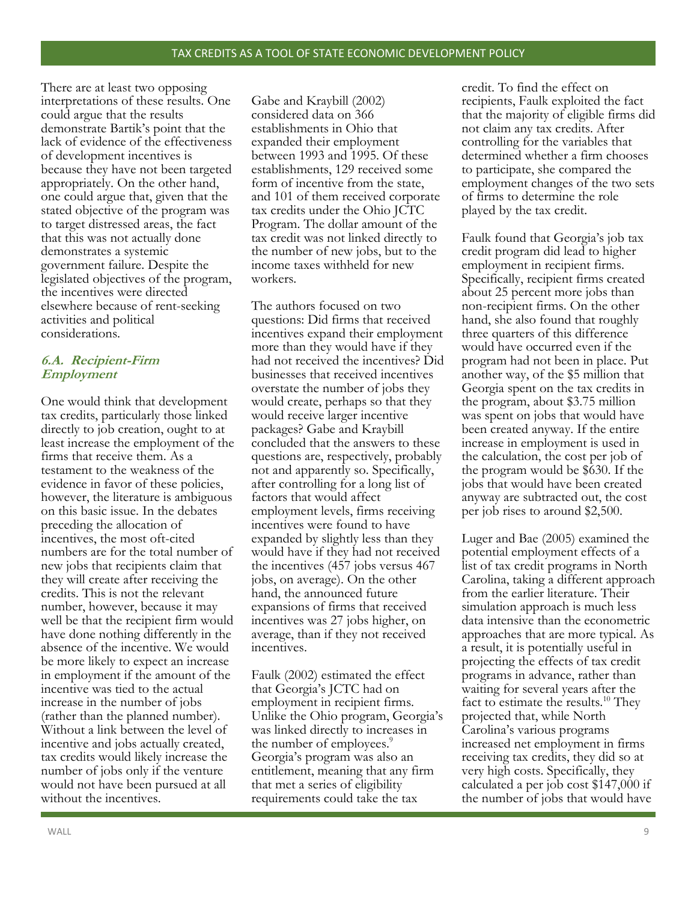There are at least two opposing interpretations of these results. One could argue that the results demonstrate Bartik's point that the lack of evidence of the effectiveness of development incentives is because they have not been targeted appropriately. On the other hand, one could argue that, given that the stated objective of the program was to target distressed areas, the fact that this was not actually done demonstrates a systemic government failure. Despite the legislated objectives of the program, the incentives were directed elsewhere because of rent-seeking activities and political considerations.

# **6.A. Recipient-Firm Employment**

One would think that development tax credits, particularly those linked directly to job creation, ought to at least increase the employment of the firms that receive them. As a testament to the weakness of the evidence in favor of these policies, however, the literature is ambiguous on this basic issue. In the debates preceding the allocation of incentives, the most oft-cited numbers are for the total number of new jobs that recipients claim that they will create after receiving the credits. This is not the relevant number, however, because it may well be that the recipient firm would have done nothing differently in the absence of the incentive. We would be more likely to expect an increase in employment if the amount of the incentive was tied to the actual increase in the number of jobs (rather than the planned number). Without a link between the level of incentive and jobs actually created, tax credits would likely increase the number of jobs only if the venture would not have been pursued at all without the incentives.

Gabe and Kraybill (2002) considered data on 366 establishments in Ohio that expanded their employment between 1993 and 1995. Of these establishments, 129 received some form of incentive from the state, and 101 of them received corporate tax credits under the Ohio JCTC Program. The dollar amount of the tax credit was not linked directly to the number of new jobs, but to the income taxes withheld for new workers.

The authors focused on two questions: Did firms that received incentives expand their employment more than they would have if they had not received the incentives? Did businesses that received incentives overstate the number of jobs they would create, perhaps so that they would receive larger incentive packages? Gabe and Kraybill concluded that the answers to these questions are, respectively, probably not and apparently so. Specifically, after controlling for a long list of factors that would affect employment levels, firms receiving incentives were found to have expanded by slightly less than they would have if they had not received the incentives (457 jobs versus 467 jobs, on average). On the other hand, the announced future expansions of firms that received incentives was 27 jobs higher, on average, than if they not received incentives.

Faulk (2002) estimated the effect that Georgia's JCTC had on employment in recipient firms. Unlike the Ohio program, Georgia's was linked directly to increases in the number of employees.<sup>9</sup> Georgia's program was also an entitlement, meaning that any firm that met a series of eligibility requirements could take the tax

credit. To find the effect on recipients, Faulk exploited the fact that the majority of eligible firms did not claim any tax credits. After controlling for the variables that determined whether a firm chooses to participate, she compared the employment changes of the two sets of firms to determine the role played by the tax credit.

Faulk found that Georgia's job tax credit program did lead to higher employment in recipient firms. Specifically, recipient firms created about 25 percent more jobs than non-recipient firms. On the other hand, she also found that roughly three quarters of this difference would have occurred even if the program had not been in place. Put another way, of the \$5 million that Georgia spent on the tax credits in the program, about \$3.75 million was spent on jobs that would have been created anyway. If the entire increase in employment is used in the calculation, the cost per job of the program would be \$630. If the jobs that would have been created anyway are subtracted out, the cost per job rises to around \$2,500.

Luger and Bae (2005) examined the potential employment effects of a list of tax credit programs in North Carolina, taking a different approach from the earlier literature. Their simulation approach is much less data intensive than the econometric approaches that are more typical. As a result, it is potentially useful in projecting the effects of tax credit programs in advance, rather than waiting for several years after the fact to estimate the results.<sup>10</sup> They projected that, while North Carolina's various programs increased net employment in firms receiving tax credits, they did so at very high costs. Specifically, they calculated a per job cost \$147,000 if the number of jobs that would have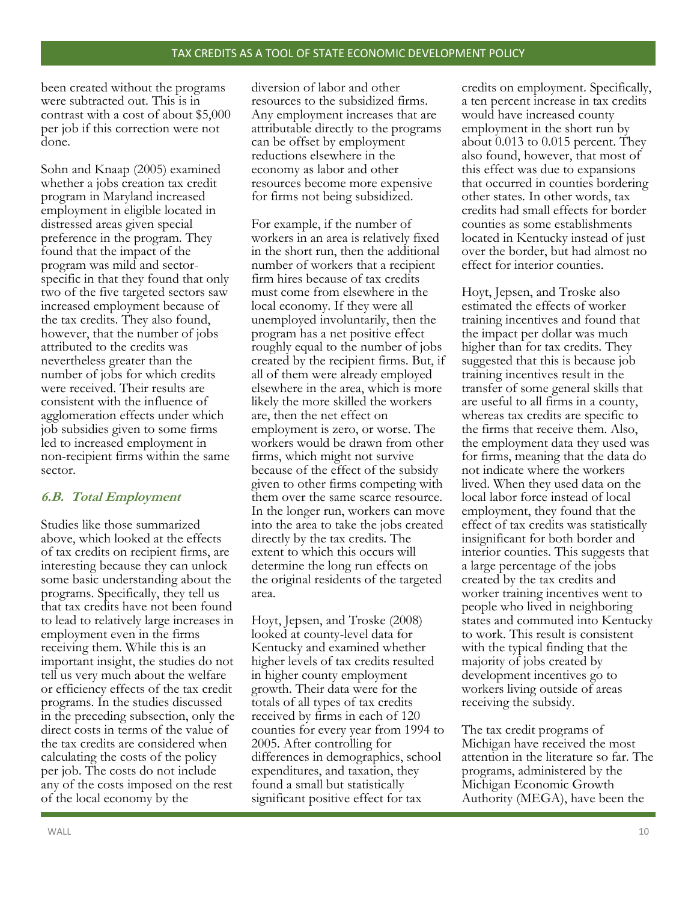been created without the programs were subtracted out. This is in contrast with a cost of about \$5,000 per job if this correction were not done.

Sohn and Knaap (2005) examined whether a jobs creation tax credit program in Maryland increased employment in eligible located in distressed areas given special preference in the program. They found that the impact of the program was mild and sectorspecific in that they found that only two of the five targeted sectors saw increased employment because of the tax credits. They also found, however, that the number of jobs attributed to the credits was nevertheless greater than the number of jobs for which credits were received. Their results are consistent with the influence of agglomeration effects under which job subsidies given to some firms led to increased employment in non-recipient firms within the same sector.

## **6.B. Total Employment**

Studies like those summarized above, which looked at the effects of tax credits on recipient firms, are interesting because they can unlock some basic understanding about the programs. Specifically, they tell us that tax credits have not been found to lead to relatively large increases in employment even in the firms receiving them. While this is an important insight, the studies do not tell us very much about the welfare or efficiency effects of the tax credit programs. In the studies discussed in the preceding subsection, only the direct costs in terms of the value of the tax credits are considered when calculating the costs of the policy per job. The costs do not include any of the costs imposed on the rest of the local economy by the

diversion of labor and other resources to the subsidized firms. Any employment increases that are attributable directly to the programs can be offset by employment reductions elsewhere in the economy as labor and other resources become more expensive for firms not being subsidized.

For example, if the number of workers in an area is relatively fixed in the short run, then the additional number of workers that a recipient firm hires because of tax credits must come from elsewhere in the local economy. If they were all unemployed involuntarily, then the program has a net positive effect roughly equal to the number of jobs created by the recipient firms. But, if all of them were already employed elsewhere in the area, which is more likely the more skilled the workers are, then the net effect on employment is zero, or worse. The workers would be drawn from other firms, which might not survive because of the effect of the subsidy given to other firms competing with them over the same scarce resource. In the longer run, workers can move into the area to take the jobs created directly by the tax credits. The extent to which this occurs will determine the long run effects on the original residents of the targeted area.

Hoyt, Jepsen, and Troske (2008) looked at county-level data for Kentucky and examined whether higher levels of tax credits resulted in higher county employment growth. Their data were for the totals of all types of tax credits received by firms in each of 120 counties for every year from 1994 to 2005. After controlling for differences in demographics, school expenditures, and taxation, they found a small but statistically significant positive effect for tax

credits on employment. Specifically, a ten percent increase in tax credits would have increased county employment in the short run by about 0.013 to 0.015 percent. They also found, however, that most of this effect was due to expansions that occurred in counties bordering other states. In other words, tax credits had small effects for border counties as some establishments located in Kentucky instead of just over the border, but had almost no effect for interior counties.

Hoyt, Jepsen, and Troske also estimated the effects of worker training incentives and found that the impact per dollar was much higher than for tax credits. They suggested that this is because job training incentives result in the transfer of some general skills that are useful to all firms in a county, whereas tax credits are specific to the firms that receive them. Also, the employment data they used was for firms, meaning that the data do not indicate where the workers lived. When they used data on the local labor force instead of local employment, they found that the effect of tax credits was statistically insignificant for both border and interior counties. This suggests that a large percentage of the jobs created by the tax credits and worker training incentives went to people who lived in neighboring states and commuted into Kentucky to work. This result is consistent with the typical finding that the majority of jobs created by development incentives go to workers living outside of areas receiving the subsidy.

The tax credit programs of Michigan have received the most attention in the literature so far. The programs, administered by the Michigan Economic Growth Authority (MEGA), have been the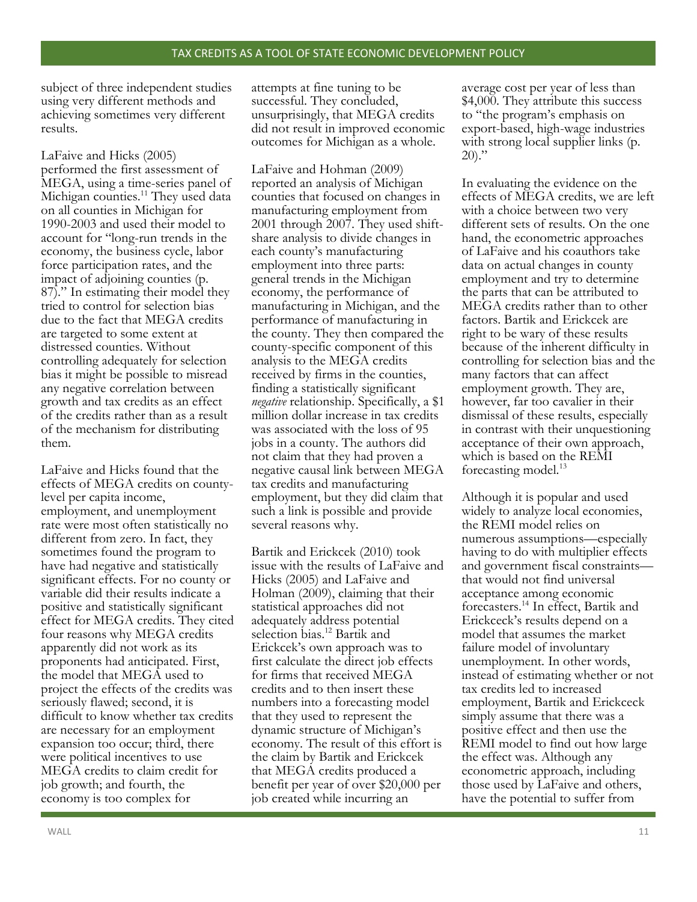subject of three independent studies using very different methods and achieving sometimes very different results.

LaFaive and Hicks (2005) performed the first assessment of MEGA, using a time-series panel of Michigan counties.<sup>11</sup> They used data on all counties in Michigan for 1990-2003 and used their model to account for "long-run trends in the economy, the business cycle, labor force participation rates, and the impact of adjoining counties (p. 87)." In estimating their model they tried to control for selection bias due to the fact that MEGA credits are targeted to some extent at distressed counties. Without controlling adequately for selection bias it might be possible to misread any negative correlation between growth and tax credits as an effect of the credits rather than as a result of the mechanism for distributing them.

LaFaive and Hicks found that the effects of MEGA credits on countylevel per capita income, employment, and unemployment rate were most often statistically no different from zero. In fact, they sometimes found the program to have had negative and statistically significant effects. For no county or variable did their results indicate a positive and statistically significant effect for MEGA credits. They cited four reasons why MEGA credits apparently did not work as its proponents had anticipated. First, the model that MEGA used to project the effects of the credits was seriously flawed; second, it is difficult to know whether tax credits are necessary for an employment expansion too occur; third, there were political incentives to use MEGA credits to claim credit for job growth; and fourth, the economy is too complex for

attempts at fine tuning to be successful. They concluded, unsurprisingly, that MEGA credits did not result in improved economic outcomes for Michigan as a whole.

LaFaive and Hohman (2009) reported an analysis of Michigan counties that focused on changes in manufacturing employment from 2001 through 2007. They used shiftshare analysis to divide changes in each county's manufacturing employment into three parts: general trends in the Michigan economy, the performance of manufacturing in Michigan, and the performance of manufacturing in the county. They then compared the county-specific component of this analysis to the MEGA credits received by firms in the counties, finding a statistically significant *negative* relationship. Specifically, a \$1 million dollar increase in tax credits was associated with the loss of 95 jobs in a county. The authors did not claim that they had proven a negative causal link between MEGA tax credits and manufacturing employment, but they did claim that such a link is possible and provide several reasons why.

Bartik and Erickcek (2010) took issue with the results of LaFaive and Hicks (2005) and LaFaive and Holman (2009), claiming that their statistical approaches did not adequately address potential selection bias.<sup>12</sup> Bartik and Erickcek's own approach was to first calculate the direct job effects for firms that received MEGA credits and to then insert these numbers into a forecasting model that they used to represent the dynamic structure of Michigan's economy. The result of this effort is the claim by Bartik and Erickcek that MEGA credits produced a benefit per year of over \$20,000 per job created while incurring an

average cost per year of less than \$4,000. They attribute this success to "the program's emphasis on export-based, high-wage industries with strong local supplier links (p.  $20$ )."

In evaluating the evidence on the effects of MEGA credits, we are left with a choice between two very different sets of results. On the one hand, the econometric approaches of LaFaive and his coauthors take data on actual changes in county employment and try to determine the parts that can be attributed to MEGA credits rather than to other factors. Bartik and Erickcek are right to be wary of these results because of the inherent difficulty in controlling for selection bias and the many factors that can affect employment growth. They are, however, far too cavalier in their dismissal of these results, especially in contrast with their unquestioning acceptance of their own approach, which is based on the REMI forecasting model.<sup>13</sup>

Although it is popular and used widely to analyze local economies, the REMI model relies on numerous assumptions—especially having to do with multiplier effects and government fiscal constraints that would not find universal acceptance among economic forecasters.<sup>14</sup> In effect, Bartik and Erickceck's results depend on a model that assumes the market failure model of involuntary unemployment. In other words, instead of estimating whether or not tax credits led to increased employment, Bartik and Erickceck simply assume that there was a positive effect and then use the REMI model to find out how large the effect was. Although any econometric approach, including those used by LaFaive and others, have the potential to suffer from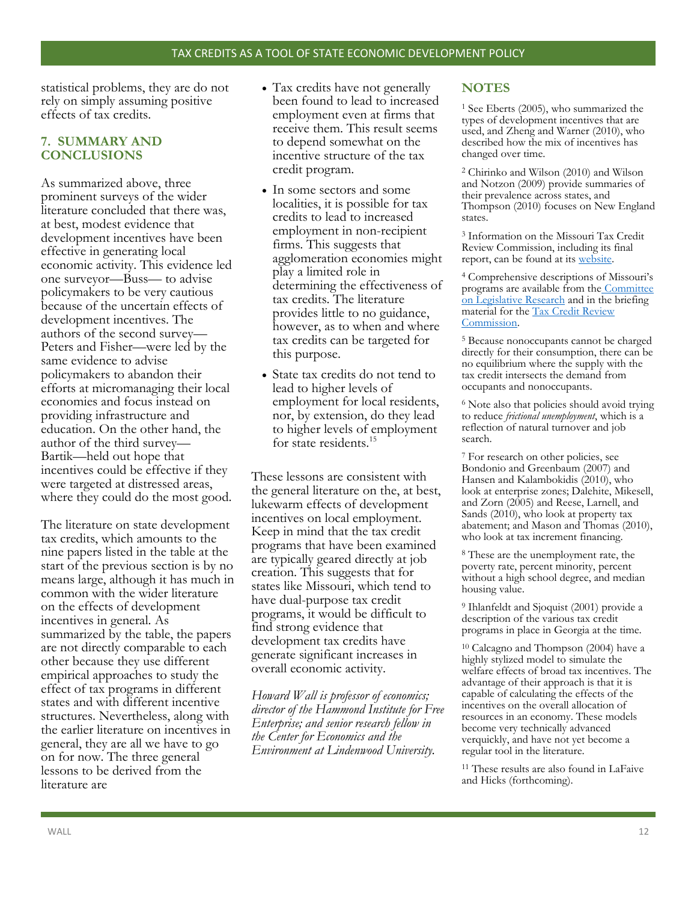statistical problems, they are do not rely on simply assuming positive effects of tax credits.

## **7. SUMMARY AND CONCLUSIONS**

As summarized above, three prominent surveys of the wider literature concluded that there was, at best, modest evidence that development incentives have been effective in generating local economic activity. This evidence led one surveyor—Buss— to advise policymakers to be very cautious because of the uncertain effects of development incentives. The authors of the second survey— Peters and Fisher—were led by the same evidence to advise policymakers to abandon their efforts at micromanaging their local economies and focus instead on providing infrastructure and education. On the other hand, the author of the third survey— Bartik—held out hope that incentives could be effective if they were targeted at distressed areas, where they could do the most good.

The literature on state development tax credits, which amounts to the nine papers listed in the table at the start of the previous section is by no means large, although it has much in common with the wider literature on the effects of development incentives in general. As summarized by the table, the papers are not directly comparable to each other because they use different empirical approaches to study the effect of tax programs in different states and with different incentive structures. Nevertheless, along with the earlier literature on incentives in general, they are all we have to go on for now. The three general lessons to be derived from the literature are

- Tax credits have not generally been found to lead to increased employment even at firms that receive them. This result seems to depend somewhat on the incentive structure of the tax credit program.
- In some sectors and some localities, it is possible for tax credits to lead to increased employment in non-recipient firms. This suggests that agglomeration economies might play a limited role in determining the effectiveness of tax credits. The literature provides little to no guidance, however, as to when and where tax credits can be targeted for this purpose.
- State tax credits do not tend to lead to higher levels of employment for local residents, nor, by extension, do they lead to higher levels of employment for state residents.<sup>15</sup>

These lessons are consistent with the general literature on the, at best, lukewarm effects of development incentives on local employment. Keep in mind that the tax credit programs that have been examined are typically geared directly at job creation. This suggests that for states like Missouri, which tend to have dual-purpose tax credit programs, it would be difficult to find strong evidence that development tax credits have generate significant increases in overall economic activity.

*Howard Wall is professor of economics; director of the Hammond Institute for Free Enterprise; and senior research fellow in the Center for Economics and the Environment at Lindenwood University.*

# **NOTES**

<sup>1</sup> See Eberts (2005), who summarized the types of development incentives that are used, and Zheng and Warner (2010), who described how the mix of incentives has changed over time.

<sup>2</sup> Chirinko and Wilson (2010) and Wilson and Notzon (2009) provide summaries of their prevalence across states, and Thompson (2010) focuses on New England states.

<sup>3</sup> Information on the Missouri Tax Credit Review Commission, including its final report, can be found at its [website.](http://tcrc.mo.gov/)

<sup>4</sup> Comprehensive descriptions of Missouri's programs are available from the Committee [on Legislative Research](http://tcrc.mo.gov/pdf/TCProgramEvaluation_Oversight.pdf) and in the briefing material for the [Tax Credit Review](http://tcrc.mo.gov/pdf/briefingMaterialBook.pdf)  [Commission.](http://tcrc.mo.gov/pdf/briefingMaterialBook.pdf)

<sup>5</sup> Because nonoccupants cannot be charged directly for their consumption, there can be no equilibrium where the supply with the tax credit intersects the demand from occupants and nonoccupants.

<sup>6</sup> Note also that policies should avoid trying to reduce *frictional unemployment*, which is a reflection of natural turnover and job search.

<sup>7</sup> For research on other policies, see Bondonio and Greenbaum (2007) and Hansen and Kalambokidis (2010), who look at enterprise zones; Dalehite, Mikesell, and Zorn (2005) and Reese, Larnell, and Sands (2010), who look at property tax abatement; and Mason and Thomas (2010), who look at tax increment financing.

<sup>8</sup> These are the unemployment rate, the poverty rate, percent minority, percent without a high school degree, and median housing value.

<sup>9</sup> Ihlanfeldt and Sjoquist (2001) provide a description of the various tax credit programs in place in Georgia at the time.

<sup>10</sup> Calcagno and Thompson (2004) have a highly stylized model to simulate the welfare effects of broad tax incentives. The advantage of their approach is that it is capable of calculating the effects of the incentives on the overall allocation of resources in an economy. These models become very technically advanced verquickly, and have not yet become a regular tool in the literature.

<sup>11</sup> These results are also found in LaFaive and Hicks (forthcoming).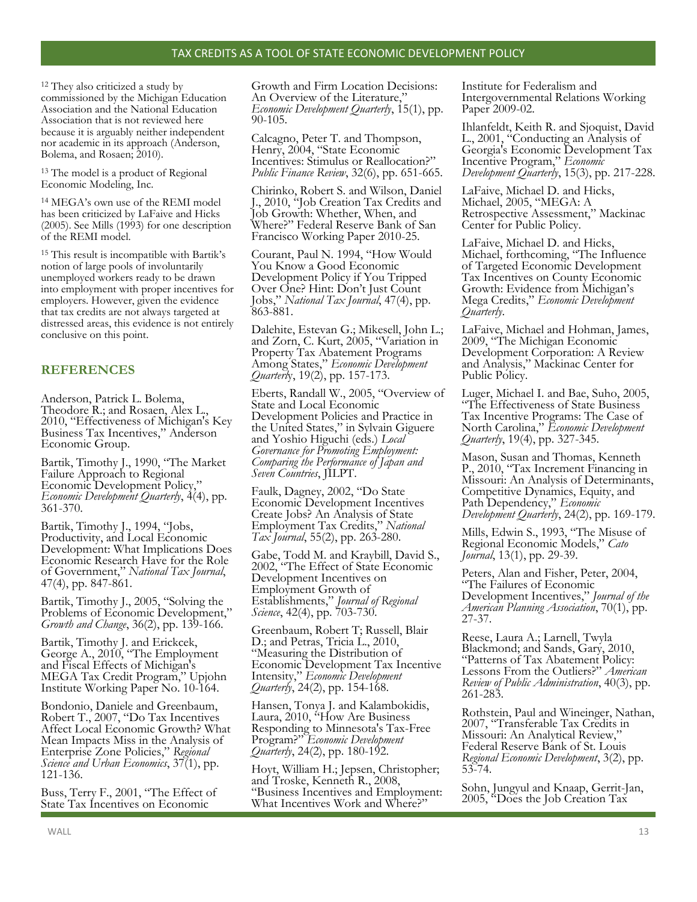<sup>12</sup> They also criticized a study by commissioned by the Michigan Education Association and the National Education Association that is not reviewed here because it is arguably neither independent nor academic in its approach (Anderson, Bolema, and Rosaen; 2010).

<sup>13</sup> The model is a product of Regional Economic Modeling, Inc.

<sup>14</sup> MEGA's own use of the REMI model has been criticized by LaFaive and Hicks (2005). See Mills (1993) for one description of the REMI model.

<sup>15</sup> This result is incompatible with Bartik's notion of large pools of involuntarily unemployed workers ready to be drawn into employment with proper incentives for employers. However, given the evidence that tax credits are not always targeted at distressed areas, this evidence is not entirely conclusive on this point.

# **REFERENCES**

Anderson, Patrick L. Bolema, Theodore R.; and Rosaen, Alex L., 2010, "Effectiveness of Michigan's Key Business Tax Incentives," Anderson Economic Group.

Bartik, Timothy J., 1990, "The Market Failure Approach to Regional Economic Development Policy," *Economic Development Quarterly*, 4(4), pp. 361-370.

Bartik, Timothy J., 1994, "Jobs, Productivity, and Local Economic Development: What Implications Does Economic Research Have for the Role of Government," *National Tax Journal*, 47(4), pp. 847-861.

Bartik, Timothy J., 2005, "Solving the Problems of Economic Development," *Growth and Change*, 36(2), pp. 139-166.

Bartik, Timothy J. and Erickcek, George A., 2010, "The Employment and Fiscal Effects of Michigan's MEGA Tax Credit Program," Upjohn Institute Working Paper No. 10-164.

Bondonio, Daniele and Greenbaum, Robert T., 2007, "Do Tax Incentives Affect Local Economic Growth? What Mean Impacts Miss in the Analysis of Enterprise Zone Policies," *Regional Science and Urban Economics*, 37(1), pp. 121-136.

Buss, Terry F., 2001, "The Effect of State Tax Incentives on Economic

Growth and Firm Location Decisions: An Overview of the Literature," *Economic Development Quarterly*, 15(1), pp. 90-105.

Calcagno, Peter T. and Thompson, Henry, 2004, "State Economic Incentives: Stimulus or Reallocation?" *Public Finance Review*, 32(6), pp. 651-665.

Chirinko, Robert S. and Wilson, Daniel J., 2010, "Job Creation Tax Credits and Job Growth: Whether, When, and Where?" Federal Reserve Bank of San Francisco Working Paper 2010-25.

Courant, Paul N. 1994, "How Would You Know a Good Economic Development Policy if You Tripped Over One? Hint: Don't Just Count Jobs," *National Tax Journal*, 47(4), pp. 863-881.

Dalehite, Estevan G.; Mikesell, John L.; and Zorn, C. Kurt, 2005, "Variation in Property Tax Abatement Programs Among States," *Economic Development Quarterl*y, 19(2), pp. 157-173.

Eberts, Randall W., 2005, "Overview of State and Local Economic Development Policies and Practice in the United States," in Sylvain Giguere and Yoshio Higuchi (eds.) *Local Governance for Promoting Employment: Comparing the Performance of Japan and Seven Countries*, JILPT.

Faulk, Dagney, 2002, "Do State Economic Development Incentives Create Jobs? An Analysis of State Employment Tax Credits," *National Tax Journal*, 55(2), pp. 263-280.

Gabe, Todd M. and Kraybill, David S., 2002, "The Effect of State Economic Development Incentives on Employment Growth of Establishments," *Journal of Regional Science*, 42(4), pp. 703-730.

Greenbaum, Robert T; Russell, Blair D.; and Petras, Tricia L., 2010, "Measuring the Distribution of Economic Development Tax Incentive Intensity," *Economic Development Quarterly*, 24(2), pp. 154-168.

Hansen, Tonya J. and Kalambokidis, Laura, 2010, "How Are Business Responding to Minnesota's Tax-Free Program?" *Economic Development Quarterly*, 24(2), pp. 180-192.

Hoyt, William H.; Jepsen, Christopher; and Troske, Kenneth R., 2008, "Business Incentives and Employment: What Incentives Work and Where?"

Institute for Federalism and Intergovernmental Relations Working Paper 2009-02.

Ihlanfeldt, Keith R. and Sjoquist, David L., 2001, "Conducting an Analysis of Georgia's Economic Development Tax Incentive Program," *Economic Development Quarterly*, 15(3), pp. 217-228.

LaFaive, Michael D. and Hicks, Michael, 2005, "MEGA: A Retrospective Assessment," Mackinac Center for Public Policy.

LaFaive, Michael D. and Hicks, Michael, forthcoming, "The Influence of Targeted Economic Development Tax Incentives on County Economic Growth: Evidence from Michigan's Mega Credits," *Economic Development Quarterly*.

LaFaive, Michael and Hohman, James, 2009, "The Michigan Economic Development Corporation: A Review and Analysis," Mackinac Center for Public Policy.

Luger, Michael I. and Bae, Suho, 2005, "The Effectiveness of State Business Tax Incentive Programs: The Case of North Carolina," *Economic Development Quarterly*, 19(4), pp. 327-345.

Mason, Susan and Thomas, Kenneth P., 2010, "Tax Increment Financing in Missouri: An Analysis of Determinants, Competitive Dynamics, Equity, and Path Dependency," *Economic Development Quarterly*, 24(2), pp. 169-179.

Mills, Edwin S., 1993, "The Misuse of Regional Economic Models," *Cato Journal*, 13(1), pp. 29-39.

Peters, Alan and Fisher, Peter, 2004, "The Failures of Economic Development Incentives," *Journal of the American Planning Association*, 70(1), pp. 27-37.

Reese, Laura A.; Larnell, Twyla Blackmond; and Sands, Gary, 2010, "Patterns of Tax Abatement Policy: Lessons From the Outliers?" *American Review of Public Administration*, 40(3), pp. 261-283.

Rothstein, Paul and Wineinger, Nathan, 2007, "Transferable Tax Credits in Missouri: An Analytical Review," Federal Reserve Bank of St. Louis *Regional Economic Development*, 3(2), pp. 53-74.

Sohn, Jungyul and Knaap, Gerrit-Jan, 2005, "Does the Job Creation Tax